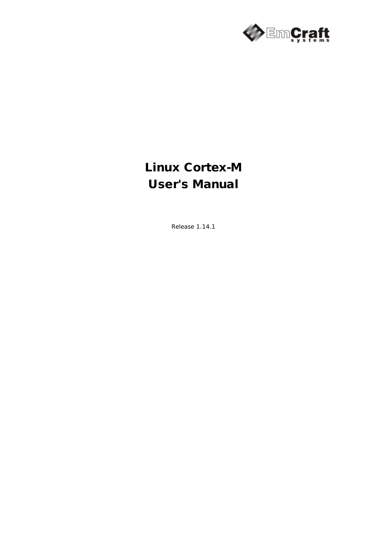

# Linux Cortex-M User's Manual

Release 1.14.1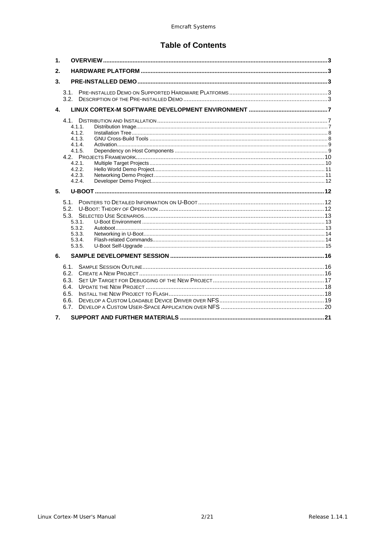# **Table of Contents**

| 1.             |                                                                                                  |  |
|----------------|--------------------------------------------------------------------------------------------------|--|
| 2.             |                                                                                                  |  |
| 3.             |                                                                                                  |  |
|                | 3.1.<br>3.2 <sub>1</sub>                                                                         |  |
| $\mathbf{A}$   |                                                                                                  |  |
|                | 4.1.<br>$4.1.1$ .<br>4.1.2.<br>4.1.3.<br>4.1.4.<br>4.1.5.<br>4.2.1.<br>4.2.2.<br>4.2.3.<br>4.2.4 |  |
| 5 <sub>1</sub> |                                                                                                  |  |
|                | 5.1.<br>5.2.<br>5.3.<br>5.3.1.<br>5.3.2.<br>5.3.3.<br>5.3.4.<br>5.3.5.                           |  |
| 6.             |                                                                                                  |  |
|                | 6.1.<br>6.2.<br>6.3.<br>6.4.<br>6.5.<br>6.6.<br>6.7.                                             |  |
| 7.             |                                                                                                  |  |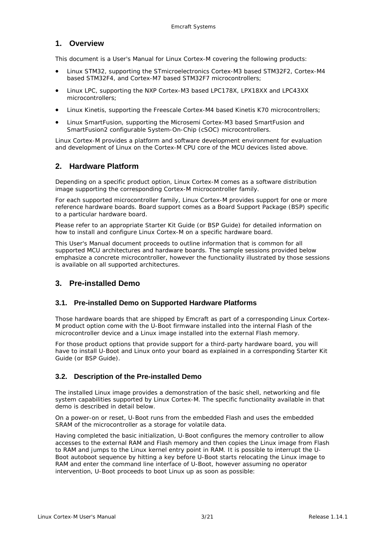## <span id="page-2-0"></span>**1. Overview**

This document is a User's Manual for Linux Cortex-M covering the following products:

- Linux STM32, supporting the STmicroelectronics Cortex-M3 based STM32F2, Cortex-M4 based STM32F4, and Cortex-M7 based STM32F7 microcontrollers;
- Linux LPC, supporting the NXP Cortex-M3 based LPC178X, LPX18XX and LPC43XX microcontrollers;
- Linux Kinetis, supporting the Freescale Cortex-M4 based Kinetis K70 microcontrollers;
- Linux SmartFusion, supporting the Microsemi Cortex-M3 based SmartFusion and SmartFusion2 configurable System-On-Chip (cSOC) microcontrollers.

Linux Cortex-M provides a platform and software development environment for evaluation and development of Linux on the Cortex-M CPU core of the MCU devices listed above.

## <span id="page-2-1"></span>**2. Hardware Platform**

Depending on a specific product option, Linux Cortex-M comes as a software distribution image supporting the corresponding Cortex-M microcontroller family.

For each supported microcontroller family, Linux Cortex-M provides support for one or more reference hardware boards. Board support comes as a Board Support Package (BSP) specific to a particular hardware board.

Please refer to an appropriate Starter Kit Guide (or BSP Guide) for detailed information on how to install and configure Linux Cortex-M on a specific hardware board.

This User's Manual document proceeds to outline information that is common for all supported MCU architectures and hardware boards. The sample sessions provided below emphasize a concrete microcontroller, however the functionality illustrated by those sessions is available on all supported architectures.

## <span id="page-2-2"></span>**3. Pre-installed Demo**

## <span id="page-2-3"></span>**3.1. Pre-installed Demo on Supported Hardware Platforms**

Those hardware boards that are shipped by Emcraft as part of a corresponding Linux Cortex-M product option come with the U-Boot firmware installed into the internal Flash of the microcontroller device and a Linux image installed into the external Flash memory.

For those product options that provide support for a third-party hardware board, you will have to install U-Boot and Linux onto your board as explained in a corresponding Starter Kit Guide (or BSP Guide).

## <span id="page-2-4"></span>**3.2. Description of the Pre-installed Demo**

The installed Linux image provides a demonstration of the basic shell, networking and file system capabilities supported by Linux Cortex-M. The specific functionality available in that demo is described in detail below.

On a power-on or reset, U-Boot runs from the embedded Flash and uses the embedded SRAM of the microcontroller as a storage for volatile data.

Having completed the basic initialization, U-Boot configures the memory controller to allow accesses to the external RAM and Flash memory and then copies the Linux image from Flash to RAM and jumps to the Linux kernel entry point in RAM. It is possible to interrupt the U-Boot autoboot sequence by hitting a key before U-Boot starts relocating the Linux image to RAM and enter the command line interface of U-Boot, however assuming no operator intervention, U-Boot proceeds to boot Linux up as soon as possible: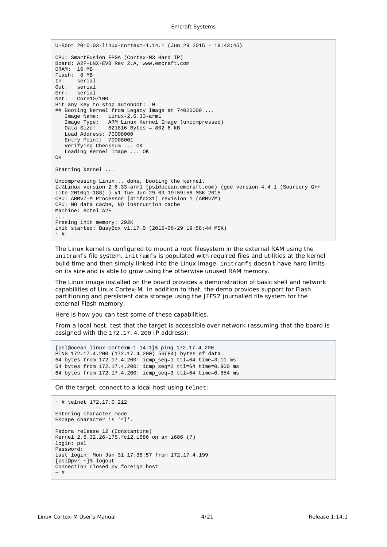```
U-Boot 2010.03-linux-cortexm-1.14.1 (Jun 29 2015 - 19:43:45)
CPU: SmartFusion FPGA (Cortex-M3 Hard IP)
Board: A2F-LNX-EVB Rev 2.A, www.emcraft.com
DRAM: 16 MB
Flash: 8 MB
In: serial
Out: serial
Err: serial<br>Net: Corel
      Core10/100
Hit any key to stop autoboot: 0
## Booting kernel from Legacy Image at 74020000 ...
    Image Name: Linux-2.6.33-arm1
    Image Type: ARM Linux Kernel Image (uncompressed)
   Data Size: 821816 Bytes = 802.6 kB
    Load Address: 70008000
    Entry Point: 70008001
    Verifying Checksum ... OK
    Loading Kernel Image ... OK
\capK
Starting kernel ...
Uncompressing Linux... done, booting the kernel.
�Linux version 2.6.33-arm1 (psl@ocean.emcraft.com) (gcc version 4.4.1 (Sourcery G++ 
Lite 2010q1-188) ) #1 Tue Jun 29 09 19:59:56 MSK 2015
CPU: ARMv7-M Processor [411fc231] revision 1 (ARMv7M)
CPU: NO data cache, NO instruction cache
Machine: Actel A2F
...
Freeing init memory: 292K
init started: BusyBox v1.17.0 (2015-06-29 19:58:44 MSK)
\sim #
```
The Linux kernel is configured to mount a root filesystem in the external RAM using the initramfs file system. initramfs is populated with required files and utilities at the kernel build time and then simply linked into the Linux image. initramfs doesn't have hard limits on its size and is able to grow using the otherwise unused RAM memory.

The Linux image installed on the board provides a demonstration of basic shell and network capabilities of Linux Cortex-M. In addition to that, the demo provides support for Flash partitioning and persistent data storage using the JFFS2 journalled file system for the external Flash memory.

Here is how you can test some of these capabilities.

From a local host, test that the target is accessible over network (assuming that the board is assigned with the 172.17.4.200 IP address):

```
[psl@ocean linux-cortexm-1.14.1]$ ping 172.17.4.200
PING 172.17.4.200 (172.17.4.200) 56(84) bytes of data.
64 bytes from 172.17.4.200: icmp_seq=1 ttl=64 time=3.11 ms
64 bytes from 172.17.4.200: icmp_seq=2 ttl=64 time=0.900 ms
64 bytes from 172.17.4.200: icmp_seq=3 ttl=64 time=0.854 ms
```
On the target, connect to a local host using telnet:

```
~ # telnet 172.17.0.212
Entering character mode
Escape character is '^]'.
Fedora release 12 (Constantine)
Kernel 2.6.32.26-175.fc12.i686 on an i686 (7)
login: psl
Password:
Last login: Mon Jan 31 17:38:57 from 172.17.4.199
[psl@pvr ~]$ logout
Connection closed by foreign host
\sim #
```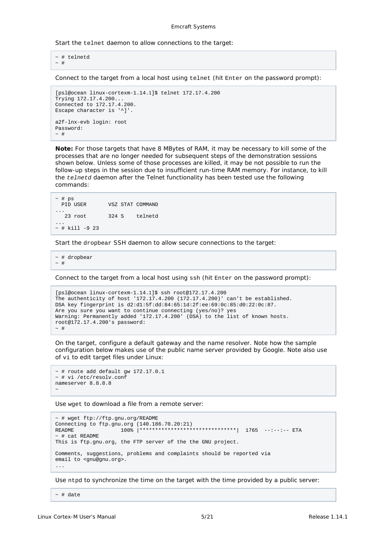#### Emcraft Systems

Start the telnet daemon to allow connections to the target:

```
~\sim~ # telnetd
~\sim~#
```
Connect to the target from a local host using telnet (hit Enter on the password prompt):

```
[psl@ocean linux-cortexm-1.14.1]$ telnet 172.17.4.200
Trying 172.17.4.200...
Connected to 172.17.4.200.
Escape character is '^]'.
a2f-lnx-evb login: root
Password:
~\sim~#
```
*Note: For those targets that have 8 MBytes of RAM, it may be necessary to kill some of the processes that are no longer needed for subsequent steps of the demonstration sessions shown below. Unless some of those processes are killed, it may be not possible to run the*  follow-up steps in the session due to insufficient run-time RAM memory. For instance, to kill *the telnetd daemon after the Telnet functionality has been tested use the following commands:* 

| $~\sim~$ # ps<br><b>PID USER</b> |       | VSZ STAT COMMAND |
|----------------------------------|-------|------------------|
| 23 root                          | 324 S | telnetd          |
| $~\sim$ # kill -9 23             |       |                  |

Start the dropbear SSH daemon to allow secure connections to the target:

~ # dropbear  $\sim$  #

Connect to the target from a local host using ssh (hit Enter on the password prompt):

```
[psl@ocean linux-cortexm-1.14.1]$ ssh root@172.17.4.200
The authenticity of host '172.17.4.200 (172.17.4.200)' can't be established.
DSA key fingerprint is d2:d1:5f:dd:84:65:1d:2f:ee:69:0c:85:d0:22:0c:87.
Are you sure you want to continue connecting (yes/no)? yes
Warning: Permanently added '172.17.4.200' (DSA) to the list of known hosts.
root@172.17.4.200's password:
~\sim~#
```
On the target, configure a default gateway and the name resolver. Note how the sample configuration below makes use of the public name server provided by Google. Note also use of vi to edit target files under Linux:

```
~\sim~ # route add default gw 172.17.0.1
~ # vi /etc/resolv.conf
nameserver 8.8.8.8
\tilde{\phantom{0}}
```
Use wget to download a file from a remote server:

```
~ # wget ftp://ftp.gnu.org/README
Connecting to ftp.gnu.org (140.186.70.20:21)<br>README 100% |*****************
                       100% |*********************************| 1765 --:--:-- ETA
~\sim~ # cat README
This is ftp.gnu.org, the FTP server of the the GNU project.
Comments, suggestions, problems and complaints should be reported via
email to <gnu@gnu.org>.
...
```
Use ntpd to synchronize the time on the target with the time provided by a public server:

 $~\sim~$  # date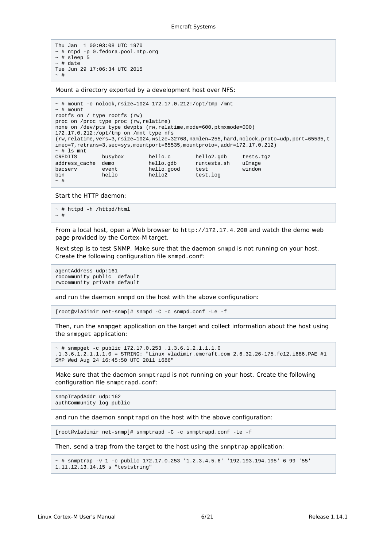```
Thu Jan 1 00:03:08 UTC 1970
~ # ntpd -p 0.fedora.pool.ntp.org
~\sim # sleep 5
~\sim~ # date
Tue Jun 29 17:06:34 UTC 2015
\sim #
```
Mount a directory exported by a development host over NFS:

```
~\sim~ # mount -o nolock, rsize=1024 172.17.0.212:/opt/tmp /mnt
~\sim~ # mount
rootfs on / type rootfs (rw)
proc on /proc type proc (rw,relatime)
none on /dev/pts type devpts (rw,relatime,mode=600,ptmxmode=000)
172.17.0.212:/opt/tmp on /mnt type nfs 
(rw,relatime,vers=3,rsize=1024,wsize=32768,namlen=255,hard,nolock,proto=udp,port=65535,t
imeo=7,retrans=3,sec=sys,mountport=65535,mountproto=,addr=172.17.0.212)
~\sim~ # ls mnt<br>CREDITS
CREDITS busybox hello.c hello2.gdb tests.tgz
address_cache demo hello.gdb runtests.sh uImage
bacserv event hello.good test window
bin hello hello2 test.log
\sim #
```
Start the HTTP daemon:

```
~\sim~ # httpd -h /httpd/html
\sim \, \#
```
From a local host, open a Web browser to http://172.17.4.200 and watch the demo web page provided by the Cortex-M target.

Next step is to test SNMP. Make sure that the daemon snmpd is not running on your host. Create the following configuration file snmpd.conf:

```
agentAddress udp:161
rocommunity public default
rwcommunity private default
```
and run the daemon snmpd on the host with the above configuration:

[root@vladimir net-snmp]# snmpd -C -c snmpd.conf -Le -f

Then, run the snmpget application on the target and collect information about the host using the snmpget application:

```
~\sim~\# snmpget -c public 172.17.0.253 .1.3.6.1.2.1.1.1.0
.1.3.6.1.2.1.1.1.0 = STRING: "Linux vladimir.emcraft.com 2.6.32.26-175.fc12.i686.PAE #1 
SMP Wed Aug 24 16:45:50 UTC 2011 i686"
```
Make sure that the daemon snmptrapd is not running on your host. Create the following configuration file snmptrapd.conf:

```
snmpTrapdAddr udp:162
authCommunity log public
```
and run the daemon snmptrapd on the host with the above configuration:

[root@vladimir net-snmp]# snmptrapd -C -c snmptrapd.conf -Le -f

Then, send a trap from the target to the host using the snmptrap application:

```
~ # snmptrap -v 1 -c public 172.17.0.253 '1.2.3.4.5.6' '192.193.194.195' 6 99 '55' 
1.11.12.13.14.15 s "teststring"
```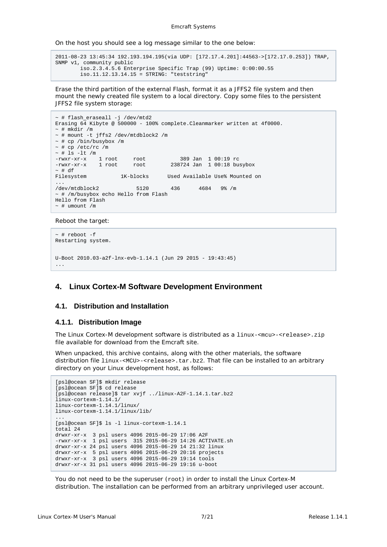Emcraft Systems

On the host you should see a log message similar to the one below:

```
2011-08-23 13:45:34 192.193.194.195(via UDP: [172.17.4.201]:44563->[172.17.0.253]) TRAP, 
SNMP v1, community public
         iso.2.3.4.5.6 Enterprise Specific Trap (99) Uptime: 0:00:00.55
         iso.11.12.13.14.15 = STRING: "teststring"
```
Erase the third partition of the external Flash, format it as a JFFS2 file system and then mount the newly created file system to a local directory. Copy some files to the persistent JFFS2 file system storage:

```
~ # flash_eraseall -j /dev/mtd2
Erasing 64 Kibyte @ 500000 - 100% complete.Cleanmarker written at 4f0000.
~\sim~ # mkdir /m
~ # mount -t jffs2 /dev/mtdblock2 /m
~ # cp /bin/busybox /m
~\sim~ # cp /etc/rc /m
~\sim # ls -lt /m
-rwxr-xr-x 1 root root 389 Jan 1 00:19 rc
-rwxr-xr-x 1 root root
~ # df<br>Filesystem
                   1K-blocks Used Available Use% Mounted on
...
/dev/mtdblock2 5120 436 4684 9% /m
~ # /m/busybox echo Hello from Flash
Hello from Flash
~\sim~ # umount /m
```
Reboot the target:

```
~\sim~ # reboot -f
Restarting system.
U-Boot 2010.03-a2f-lnx-evb-1.14.1 (Jun 29 2015 - 19:43:45)
...
```
## <span id="page-6-0"></span>**4. Linux Cortex-M Software Development Environment**

#### <span id="page-6-1"></span>**4.1. Distribution and Installation**

#### <span id="page-6-2"></span>**4.1.1. Distribution Image**

The Linux Cortex-M development software is distributed as a linux-<mcu>-<release>.zip file available for download from the Emcraft site.

When unpacked, this archive contains, along with the other materials, the software distribution file linux-<MCU>-<release>.tar.bz2. That file can be installed to an arbitrary directory on your Linux development host, as follows:

```
[psl@ocean SF]$ mkdir release
[psl@ocean SF]$ cd release
[psl@ocean release]$ tar xvjf ../linux-A2F-1.14.1.tar.bz2
linux-cortexm-1.14.1/
linux-cortexm-1.14.1/linux/
linux-cortexm-1.14.1/linux/lib/
...
[psl@ocean SF]$ ls -l linux-cortexm-1.14.1
total 24
drwxr-xr-x 3 psl users 4096 2015-06-29 17:06 A2F
-rwxr-xr-x 1 psl users 315 2015-06-29 14:26 ACTIVATE.sh
drwxr-xr-x 24 psl users 4096 2015-06-29 14 21:32 linux
drwxr-xr-x 5 psl users 4096 2015-06-29 20:16 projects
drwxr-xr-x 3 psl users 4096 2015-06-29 19:14 tools
drwxr-xr-x 31 psl users 4096 2015-06-29 19:16 u-boot
```
You do not need to be the superuser (root) in order to install the Linux Cortex-M distribution. The installation can be performed from an arbitrary unprivileged user account.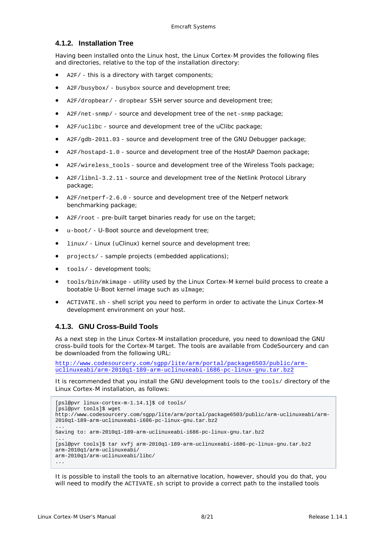#### <span id="page-7-0"></span>**4.1.2. Installation Tree**

Having been installed onto the Linux host, the Linux Cortex-M provides the following files and directories, relative to the top of the installation directory:

- A2F/ this is a directory with target components;
- A2F/busybox/ busybox source and development tree;
- A2F/dropbear/ dropbear SSH server source and development tree;
- A2F/net-snmp/ source and development tree of the net-snmp package;
- A2F/uclibc source and development tree of the uClibc package;
- A2F/gdb-2011.03 source and development tree of the GNU Debugger package;
- A2F/hostapd-1.0 source and development tree of the HostAP Daemon package;
- A2F/wireless\_tools source and development tree of the Wireless Tools package;
- A2F/libnl-3.2.11 source and development tree of the Netlink Protocol Library package;
- A2F/netperf-2.6.0 source and development tree of the Netperf network benchmarking package;
- A2F/root pre-built target binaries ready for use on the target;
- u-boot/ U-Boot source and development tree;
- linux/ Linux (uClinux) kernel source and development tree;
- projects/ sample projects (embedded applications);
- tools/ development tools;
- tools/bin/mkimage utility used by the Linux Cortex-M kernel build process to create a bootable U-Boot kernel image such as uImage;
- ACTIVATE.sh shell script you need to perform in order to activate the Linux Cortex-M development environment on your host.

## <span id="page-7-1"></span>**4.1.3. GNU Cross-Build Tools**

As a next step in the Linux Cortex-M installation procedure, you need to download the GNU cross-build tools for the Cortex-M target. The tools are available from CodeSourcery and can be downloaded from the following URL:

```
http://www.codesourcery.com/sgpp/lite/arm/portal/package6503/public/arm-
uclinuxeabi/arm-2010q1-189-arm-uclinuxeabi-i686-pc-linux-gnu.tar.bz2
```
It is recommended that you install the GNU development tools to the tools/ directory of the Linux Cortex-M installation, as follows:

```
[psl@pvr linux-cortex-m-1.14.1]$ cd tools/
[psl@pvr tools]$ wget 
http://www.codesourcery.com/sgpp/lite/arm/portal/package6503/public/arm-uclinuxeabi/arm-
2010q1-189-arm-uclinuxeabi-i686-pc-linux-gnu.tar.bz2
...
Saving to: arm-2010q1-189-arm-uclinuxeabi-i686-pc-linux-gnu.tar.bz2
...
[psl@pvr tools]$ tar xvfj arm-2010q1-189-arm-uclinuxeabi-i686-pc-linux-gnu.tar.bz2
arm-2010q1/arm-uclinuxeabi/
arm-2010q1/arm-uclinuxeabi/libc/
...
```
It is possible to install the tools to an alternative location, however, should you do that, you will need to modify the ACTIVATE, sh script to provide a correct path to the installed tools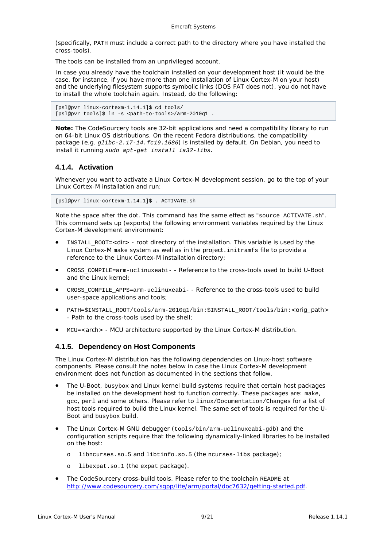(specifically, PATH must include a correct path to the directory where you have installed the cross-tools).

The tools can be installed from an unprivileged account.

In case you already have the toolchain installed on your development host (it would be the case, for instance, if you have more than one installation of Linux Cortex-M on your host) and the underlying filesystem supports symbolic links (DOS FAT does not), you do not have to install the whole toolchain again. Instead, do the following:

```
[psl@pvr linux-cortexm-1.14.1]$ cd tools/
[psl@pvr tools]$ ln -s <path-to-tools>/arm-2010q1 .
```
*Note: The CodeSourcery tools are 32-bit applications and need a compatibility library to run on 64-bit Linux OS distributions. On the recent Fedora distributions, the compatibility package (e.g. glibc-2.17-14.fc19.i686) is installed by default. On Debian, you need to install it running sudo apt-get install ia32-libs.*

## <span id="page-8-0"></span>**4.1.4. Activation**

Whenever you want to activate a Linux Cortex-M development session, go to the top of your Linux Cortex-M installation and run:

[psl@pvr linux-cortexm-1.14.1]\$ . ACTIVATE.sh

Note the space after the dot. This command has the same effect as "source ACTIVATE.sh". This command sets up (exports) the following environment variables required by the Linux Cortex-M development environment:

- INSTALL\_ROOT=*<dir>* root directory of the installation. This variable is used by the Linux Cortex-M make system as well as in the *project*.initramfs file to provide a reference to the Linux Cortex-M installation directory;
- CROSS\_COMPILE=arm-uclinuxeabi- Reference to the cross-tools used to build U-Boot and the Linux kernel;
- CROSS\_COMPILE\_APPS=arm-uclinuxeabi- Reference to the cross-tools used to build user-space applications and tools;
- PATH=\$INSTALL\_ROOT/tools/arm-2010q1/bin:\$INSTALL\_ROOT/tools/bin:*<orig\_path>* - Path to the cross-tools used by the shell;
- MCU=*<arch>* MCU architecture supported by the Linux Cortex-M distribution.

## <span id="page-8-1"></span>**4.1.5. Dependency on Host Components**

The Linux Cortex-M distribution has the following dependencies on Linux-host software components. Please consult the notes below in case the Linux Cortex-M development environment does not function as documented in the sections that follow.

- The U-Boot, busybox and Linux kernel build systems require that certain host packages be installed on the development host to function correctly. These packages are: make, gcc, perl and some others. Please refer to linux/Documentation/Changes for a list of host tools required to build the Linux kernel. The same set of tools is required for the U-Boot and busybox build.
- The Linux Cortex-M GNU debugger (tools/bin/arm-uclinuxeabi-gdb) and the configuration scripts require that the following dynamically-linked libraries to be installed on the host:
	- o libncurses.so.5 and libtinfo.so.5 (the ncurses-libs package);
	- o libexpat.so.1 (the expat package).
- The CodeSourcery cross-build tools. Please refer to the toolchain README at [http://www.codesourcery.com/sgpp/lite/arm/portal/doc7632/getting-started.pdf.](http://www.codesourcery.com/sgpp/lite/arm/portal/doc7632/getting-started.pdf)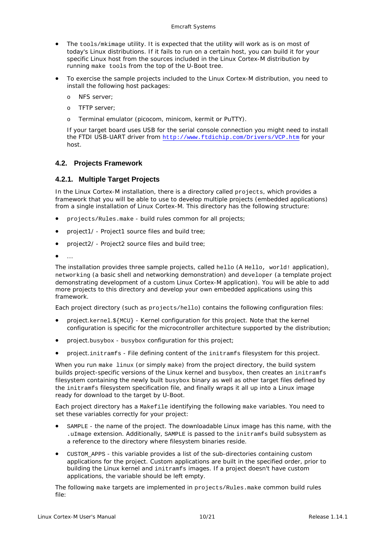- The tools/mkimage utility. It is expected that the utility will work as is on most of today's Linux distributions. If it fails to run on a certain host, you can build it for your specific Linux host from the sources included in the Linux Cortex-M distribution by running make tools from the top of the U-Boot tree.
- To exercise the sample projects included to the Linux Cortex-M distribution, you need to install the following host packages:
	- o NFS server;
	- o TFTP server;
	- o Terminal emulator (picocom, minicom, kermit or PuTTY).

If your target board uses USB for the serial console connection you might need to install the FTDI USB-UART driver from <http://www.ftdichip.com/Drivers/VCP.htm> for your host.

#### <span id="page-9-0"></span>**4.2. Projects Framework**

#### <span id="page-9-1"></span>**4.2.1. Multiple Target Projects**

In the Linux Cortex-M installation, there is a directory called projects, which provides a framework that you will be able to use to develop multiple projects (embedded applications) from a single installation of Linux Cortex-M. This directory has the following structure:

- projects/Rules.make build rules common for all projects;
- *project1/ Project1* source files and build tree;
- *project2/ Project2* source files and build tree;
- 

The installation provides three sample projects, called hello (A Hello, world! application), networking (a basic shell and networking demonstration) and developer (a template project demonstrating development of a custom Linux Cortex-M application). You will be able to add more projects to this directory and develop your own embedded applications using this framework.

Each project directory (such as projects/hello) contains the following configuration files:

- *project*.kernel.\${MCU} Kernel configuration for this project. Note that the kernel configuration is specific for the microcontroller architecture supported by the distribution;
- *project*.busybox busybox configuration for this project;
- *project*.initramfs File defining content of the initramfs filesystem for this project.

When you run make linux (or simply make) from the project directory, the build system builds project-specific versions of the Linux kernel and busybox, then creates an initramfs filesystem containing the newly built busybox binary as well as other target files defined by the initramfs filesystem specification file, and finally wraps it all up into a Linux image ready for download to the target by U-Boot.

Each project directory has a Makefile identifying the following make variables. You need to set these variables correctly for your project:

- SAMPLE the name of the project. The downloadable Linux image has this name, with the .uImage extension. Additionally, SAMPLE is passed to the initramfs build subsystem as a reference to the directory where filesystem binaries reside.
- CUSTOM\_APPS this variable provides a list of the sub-directories containing custom applications for the project. Custom applications are built in the specified order, prior to building the Linux kernel and initramfs images. If a project doesn't have custom applications, the variable should be left empty.

The following make targets are implemented in projects/Rules.make common build rules file: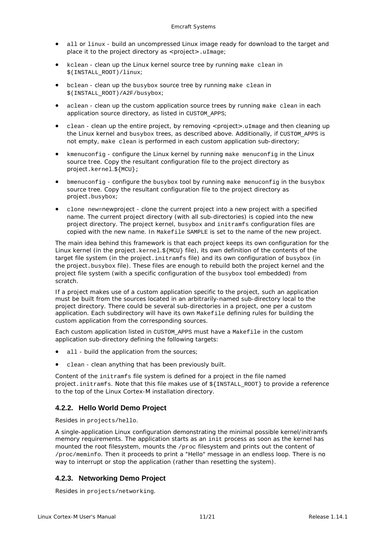- all or linux build an uncompressed Linux image ready for download to the target and place it to the project directory as *<project>*.uImage;
- kclean clean up the Linux kernel source tree by running make clean in \$(INSTALL\_ROOT)/linux;
- bclean clean up the busybox source tree by running make clean in \$(INSTALL\_ROOT)/A2F/busybox;
- aclean clean up the custom application source trees by running make clean in each application source directory, as listed in CUSTOM\_APPS;
- clean clean up the entire project, by removing *<project>.*uImage and then cleaning up the Linux kernel and busybox trees, as described above. Additionally, if CUSTOM APPS is not empty, make clean is performed in each custom application sub-directory;
- kmenuconfig configure the Linux kernel by running make menuconfig in the Linux source tree. Copy the resultant configuration file to the project directory as *project*.kernel.\${MCU};
- bmenuconfig configure the busybox tool by running make menuconfig in the busybox source tree. Copy the resultant configuration file to the project directory as *project*.busybox;
- clone new=*newproject* clone the current project into a new project with a specified name. The current project directory (with all sub-directories) is copied into the new project directory. The project kernel, busybox and initramfs configuration files are copied with the new name. In Makefile SAMPLE is set to the name of the new project.

The main idea behind this framework is that each project keeps its own configuration for the Linux kernel (in the *project*.kernel.\${MCU} file), its own definition of the contents of the target file system (in the *project*.initramfs file) and its own configuration of busybox (in the *project*.busybox file). These files are enough to rebuild both the project kernel and the project file system (with a specific configuration of the busybox tool embedded) from scratch.

If a project makes use of a custom application specific to the project, such an application must be built from the sources located in an arbitrarily-named sub-directory local to the project directory. There could be several sub-directories in a project, one per a custom application. Each subdirectory will have its own Makefile defining rules for building the custom application from the corresponding sources.

Each custom application listed in CUSTOM\_APPS must have a Makefile in the custom application sub-directory defining the following targets:

- all build the application from the sources;
- clean clean anything that has been previously built.

Content of the initramfs file system is defined for a project in the file named *project*.initramfs. Note that this file makes use of \${INSTALL\_ROOT} to provide a reference to the top of the Linux Cortex-M installation directory.

## <span id="page-10-0"></span>**4.2.2. Hello World Demo Project**

Resides in projects/hello.

A single-application Linux configuration demonstrating the minimal possible kernel/initramfs memory requirements. The application starts as an init process as soon as the kernel has mounted the root filesystem, mounts the /proc filesystem and prints out the content of /proc/meminfo. Then it proceeds to print a "Hello" message in an endless loop. There is no way to interrupt or stop the application (rather than resetting the system).

## <span id="page-10-1"></span>**4.2.3. Networking Demo Project**

Resides in projects/networking.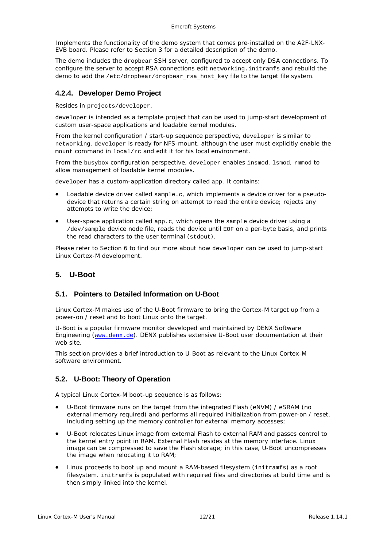Implements the functionality of the demo system that comes pre-installed on the A2F-LNX-EVB board. Please refer to Section [3](#page-2-2) for a detailed description of the demo.

The demo includes the dropbear SSH server, configured to accept only DSA connections. To configure the server to accept RSA connections edit networking.initramfs and rebuild the demo to add the /etc/dropbear/dropbear\_rsa\_host\_key file to the target file system.

## <span id="page-11-0"></span>**4.2.4. Developer Demo Project**

Resides in projects/developer.

developer is intended as a template project that can be used to jump-start development of custom user-space applications and loadable kernel modules.

From the kernel configuration / start-up sequence perspective, developer is similar to networking. developer is ready for NFS-mount, although the user must explicitly enable the mount command in local/rc and edit it for his local environment.

From the busybox configuration perspective, developer enables insmod, lsmod, rmmod to allow management of loadable kernel modules.

developer has a custom-application directory called app. It contains:

- Loadable device driver called  $\text{sample.c}$ , which implements a device driver for a pseudodevice that returns a certain string on attempt to read the entire device; rejects any attempts to write the device;
- User-space application called app.c, which opens the sample device driver using a /dev/sample device node file, reads the device until EOF on a per-byte basis, and prints the read characters to the user terminal (stdout).

Please refer to Section [6](#page-15-0) to find our more about how developer can be used to jump-start Linux Cortex-M development.

## <span id="page-11-1"></span>**5. U-Boot**

#### <span id="page-11-2"></span>**5.1. Pointers to Detailed Information on U-Boot**

Linux Cortex-M makes use of the U-Boot firmware to bring the Cortex-M target up from a power-on / reset and to boot Linux onto the target.

U-Boot is a popular firmware monitor developed and maintained by DENX Software Engineering ([www.denx.de](http://www.denx.de/)). DENX publishes extensive U-Boot user documentation at their web site.

This section provides a brief introduction to U-Boot as relevant to the Linux Cortex-M software environment.

## <span id="page-11-3"></span>**5.2. U-Boot: Theory of Operation**

A typical Linux Cortex-M boot-up sequence is as follows:

- U-Boot firmware runs on the target from the integrated Flash (eNVM) / eSRAM (no external memory required) and performs all required initialization from power-on / reset, including setting up the memory controller for external memory accesses;
- U-Boot relocates Linux image from external Flash to external RAM and passes control to the kernel entry point in RAM. External Flash resides at the memory interface. Linux image can be compressed to save the Flash storage; in this case, U-Boot uncompresses the image when relocating it to RAM;
- Linux proceeds to boot up and mount a RAM-based filesystem (initramfs) as a root filesystem. initramfs is populated with required files and directories at build time and is then simply linked into the kernel.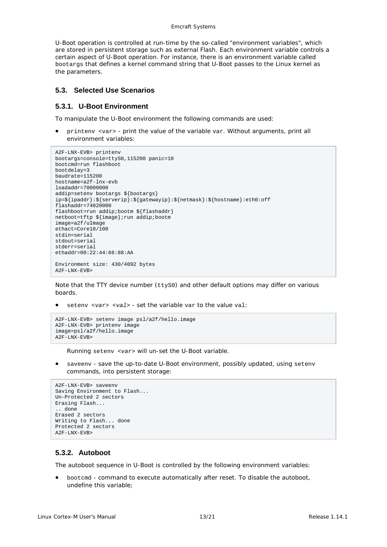#### Emcraft Systems

U-Boot operation is controlled at run-time by the so-called "environment variables", which are stored in persistent storage such as external Flash. Each environment variable controls a certain aspect of U-Boot operation. For instance, there is an environment variable called bootargs that defines a kernel command string that U-Boot passes to the Linux kernel as the parameters.

#### <span id="page-12-0"></span>**5.3. Selected Use Scenarios**

#### <span id="page-12-1"></span>**5.3.1. U-Boot Environment**

To manipulate the U-Boot environment the following commands are used:

• printenv <var> - print the value of the variable var. Without arguments, print all environment variables:

```
A2F-LNX-EVB> printenv
bootargs=console=ttyS0,115200 panic=10
bootcmd=run flashboot
bootdelay=3
baudrate=115200
hostname=a2f-lnx-evb
loadaddr=70000000
addip=setenv bootargs ${bootargs} 
ip=${ipaddr}:${serverip}:${gatewayip}:${netmask}:${hostname}:eth0:off
flashaddr=74020000
flashboot=run addip;bootm ${flashaddr}
netboot=tftp ${image};run addip;bootm
image=a2f/uImage
ethact=Core10/100
stdin=serial
stdout=serial
stderr=serial
ethaddr=00:22:44:66:88:AA
Environment size: 430/4092 bytes
A2F-LNX-EVB>
```
Note that the TTY device number (ttys0) and other default options may differ on various boards.

• setenv *<var> <val>* - set the variable var to the value val:

```
A2F-LNX-EVB> setenv image psl/a2f/hello.image
A2F-LNX-EVB> printenv image
image=psl/a2f/hello.image
A2F-LNX-EVB>
```
Running setenv *<var>* will un-set the U-Boot variable.

• saveenv - save the up-to-date U-Boot environment, possibly updated, using setenv commands, into persistent storage:

```
A2F-LNX-EVB> saveenv
Saving Environment to Flash...
Un-Protected 2 sectors
Erasing Flash...
.. done
Erased 2 sectors
Writing to Flash... done
Protected 2 sectors
A2F-LNX-EVB>
```
#### <span id="page-12-2"></span>**5.3.2. Autoboot**

The autoboot sequence in U-Boot is controlled by the following environment variables:

• bootcmd - command to execute automatically after reset. To disable the autoboot, undefine this variable;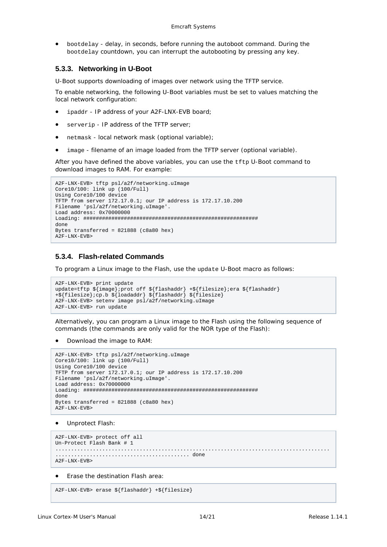• bootdelay - delay, in seconds, before running the autoboot command. During the bootdelay countdown, you can interrupt the autobooting by pressing any key.

#### <span id="page-13-0"></span>**5.3.3. Networking in U-Boot**

U-Boot supports downloading of images over network using the TFTP service.

To enable networking, the following U-Boot variables must be set to values matching the local network configuration:

- ipaddr IP address of your A2F-LNX-EVB board;
- serverip IP address of the TFTP server;
- netmask local network mask (optional variable);
- image filename of an image loaded from the TFTP server (optional variable).

After you have defined the above variables, you can use the tftp U-Boot command to download images to RAM. For example:

```
A2F-LNX-EVB> tftp psl/a2f/networking.uImage
Core10/100: link up (100/Full)
Using Core10/100 device
TFTP from server 172.17.0.1; our IP address is 172.17.10.200
Filename 'psl/a2f/networking.uImage'.
Load address: 0x70000000
Loading: ########################################################
done
Bytes transferred = 821888 (c8a80 hex)
A2F-LNX-EVB>
```
#### <span id="page-13-1"></span>**5.3.4. Flash-related Commands**

To program a Linux image to the Flash, use the update U-Boot macro as follows:

```
A2F-LNX-EVB> print update
update=tftp ${image};prot off ${flashaddr} +${filesize};era ${flashaddr} 
+${filesize};cp.b ${loadaddr} ${flashaddr} ${filesize}
A2F-LNX-EVB> setenv image psl/a2f/networking.uImage
A2F-LNX-EVB> run update
```
Alternatively, you can program a Linux image to the Flash using the following sequence of commands (the commands are only valid for the NOR type of the Flash):

• Download the image to RAM:

```
A2F-LNX-EVB> tftp psl/a2f/networking.uImage
Core10/100: link up (100/Full)
Using Core10/100 device
TFTP from server 172.17.0.1; our IP address is 172.17.10.200
Filename 'psl/a2f/networking.uImage'.
Load address: 0x70000000
Loading: ########################################################
done
Bytes transferred = 821888 (c8a80 hex)
A2F-LNX-EVB>
```
• Unprotect Flash:

```
A2F-LNX-EVB> protect off all
Un-Protect Flash Bank # 1
                                               ........................................................................................
  ........................................... done
A2F-LNX-EVB>
```
• Erase the destination Flash area:

```
A2F-LNX-EVB> erase ${flashaddr} +${filesize}
```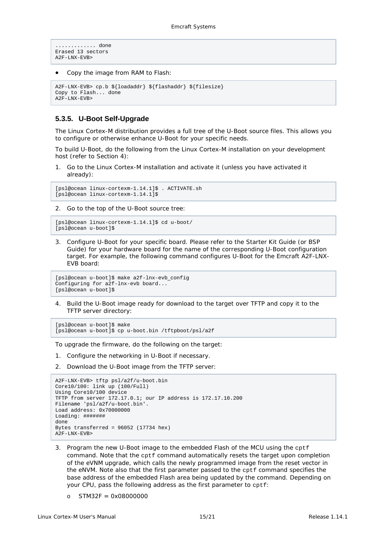```
............ done
Erased 13 sectors
A2F-LNX-EVB>
```
• Copy the image from RAM to Flash:

```
A2F-LNX-EVB> cp.b ${loadaddr} ${flashaddr} ${filesize}
Copy to Flash... done
A2F-LNX-EVB>
```
## <span id="page-14-0"></span>**5.3.5. U-Boot Self-Upgrade**

The Linux Cortex-M distribution provides a full tree of the U-Boot source files. This allows you to configure or otherwise enhance U-Boot for your specific needs.

To build U-Boot, do the following from the Linux Cortex-M installation on your development host (refer to Section [4\)](#page-6-0):

1. Go to the Linux Cortex-M installation and activate it (unless you have activated it already):

[psl@ocean linux-cortexm-1.14.1]\$ . ACTIVATE.sh [psl@ocean linux-cortexm-1.14.1]\$

2. Go to the top of the U-Boot source tree:

[psl@ocean linux-cortexm-1.14.1]\$ cd u-boot/ [psl@ocean u-boot]\$

3. Configure U-Boot for your specific board. Please refer to the Starter Kit Guide (or BSP Guide) for your hardware board for the name of the corresponding U-Boot configuration target. For example, the following command configures U-Boot for the Emcraft A2F-LNX-EVB board:

```
[psl@ocean u-boot]$ make a2f-lnx-evb_config
Configuring for a2f-lnx-evb board...
[psl@ocean u-boot]$
```
4. Build the U-Boot image ready for download to the target over TFTP and copy it to the TFTP server directory:

```
[psl@ocean u-boot]$ make
[psl@ocean u-boot]$ cp u-boot.bin /tftpboot/psl/a2f
```
To upgrade the firmware, do the following on the target:

- 1. Configure the networking in U-Boot if necessary.
- 2. Download the U-Boot image from the TFTP server:

```
A2F-LNX-EVB> tftp psl/a2f/u-boot.bin
Core10/100: link up (100/Full)
Using Core10/100 device
TFTP from server 172.17.0.1; our IP address is 172.17.10.200
Filename 'psl/a2f/u-boot.bin'.
Load address: 0x70000000
Loading: #######
done
Bytes transferred = 96052 (17734 hex)
A2F-LNX-EVB>
```
- 3. Program the new U-Boot image to the embedded Flash of the MCU using the cptf command. Note that the cptf command automatically resets the target upon completion of the eVNM upgrade, which calls the newly programmed image from the reset vector in the eNVM. Note also that the first parameter passed to the cptf command specifies the base address of the embedded Flash area being updated by the command. Depending on your CPU, pass the following address as the first parameter to cptf:
	- $O$  STM32F = 0x08000000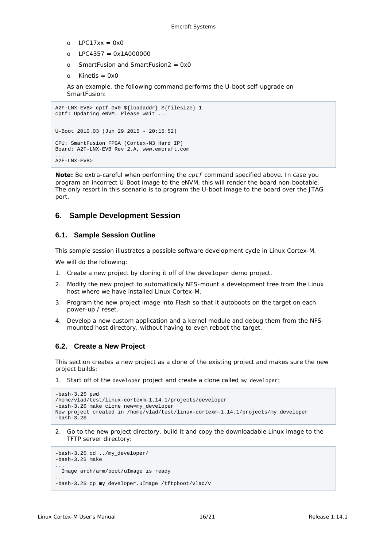- $O = IPC17xx = 0x0$
- o LPC4357 = 0x1A000000
- o SmartFusion and SmartFusion $2 = 0x0$
- $o$  Kinetis = 0x0

As an example, the following command performs the U-boot self-upgrade on SmartFusion:

```
A2F-LNX-EVB> cptf 0x0 ${loadaddr} ${filesize} 1
cptf: Updating eNVM. Please wait ...
U-Boot 2010.03 (Jun 29 2015 - 20:15:52)
CPU: SmartFusion FPGA (Cortex-M3 Hard IP)
Board: A2F-LNX-EVB Rev 2.A, www.emcraft.com
...
A2F-LNX-EVB>
```
*Note: Be extra-careful when performing the cptf command specified above. In case you program an incorrect U-Boot image to the eNVM, this will render the board non-bootable. The only resort in this scenario is to program the U-boot image to the board over the JTAG port.*

## <span id="page-15-0"></span>**6. Sample Development Session**

## <span id="page-15-1"></span>**6.1. Sample Session Outline**

This sample session illustrates a possible software development cycle in Linux Cortex-M.

We will do the following:

- 1. Create a new project by cloning it off of the developer demo project.
- 2. Modify the new project to automatically NFS-mount a development tree from the Linux host where we have installed Linux Cortex-M.
- 3. Program the new project image into Flash so that it autoboots on the target on each power-up / reset.
- 4. Develop a new custom application and a kernel module and debug them from the NFSmounted host directory, without having to even reboot the target.

## <span id="page-15-2"></span>**6.2. Create a New Project**

This section creates a new project as a clone of the existing project and makes sure the new project builds:

1. Start off of the developer project and create a clone called my\_developer:

```
-bash-3.2$ pwd
/home/vlad/test/linux-cortexm-1.14.1/projects/developer
-bash-3.2$ make clone new=my_developer
New project created in /home/vlad/test/linux-cortexm-1.14.1/projects/my_developer
-hach-3.2<sup>o</sup>
```
2. Go to the new project directory, build it and copy the downloadable Linux image to the TFTP server directory:

```
-bash-3.2$ cd ../my_developer/
-bash-3.2$ make
...
  Image arch/arm/boot/uImage is ready
...
-bash-3.2$ cp my_developer.uImage /tftpboot/vlad/v
```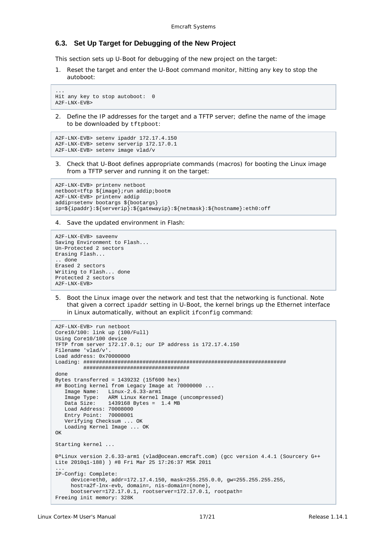#### <span id="page-16-0"></span>**6.3. Set Up Target for Debugging of the New Project**

This section sets up U-Boot for debugging of the new project on the target:

1. Reset the target and enter the U-Boot command monitor, hitting any key to stop the autoboot:

```
...
Hit any key to stop autoboot: 0
A2F-LNX-EVB>
```
2. Define the IP addresses for the target and a TFTP server; define the name of the image to be downloaded by tftpboot:

```
A2F-LNX-EVB> setenv ipaddr 172.17.4.150
A2F-LNX-EVB> setenv serverip 172.17.0.1
A2F-LNX-EVB> setenv image vlad/v
```
3. Check that U-Boot defines appropriate commands (macros) for booting the Linux image from a TFTP server and running it on the target:

```
A2F-LNX-EVB> printenv netboot
netboot=tftp ${image};run addip;bootm
A2F-LNX-EVB> printenv addip
addip=setenv bootargs ${bootargs} 
ip=${ipaddr}:${serverip}:${gatewayip}:${netmask}:${hostname}:eth0:off
```
4. Save the updated environment in Flash:

```
A2F-LNX-EVB> saveenv
Saving Environment to Flash...
Un-Protected 2 sectors
Erasing Flash...
.. done
Erased 2 sectors
Writing to Flash... done
Protected 2 sectors
A2F-LNX-EVB>
```
5. Boot the Linux image over the network and test that the networking is functional. Note that given a correct ipaddr setting in U-Boot, the kernel brings up the Ethernet interface in Linux automatically, without an explicit ifconfig command:

```
A2F-LNX-EVB> run netboot
Core10/100: link up (100/Full)
Using Core10/100 device
TFTP from server 172.17.0.1; our IP address is 172.17.4.150
Filename 'vlad/v'.
Load address: 0x70000000
Loading: #################################################################
          ##################################
done
Bytes transferred = 1439232 (15f600 hex)
## Booting kernel from Legacy Image at 70000000 ...
    Image Name: Linux-2.6.33-arm1
  Image Type: ARM Linux Kernel Image (uncompressed)<br>Data Size: 1439168 Bytes = 1.4 MB
                 1439168 Bytes = 1.4 MB
    Load Address: 70008000
    Entry Point: 70008001
    Verifying Checksum ... OK
    Loading Kernel Image ... OK
\bigcapK
Starting kernel ...
ЪLinux version 2.6.33-arm1 (vlad@ocean.emcraft.com) (gcc version 4.4.1 (Sourcery G++ 
Lite 2010q1-188) ) #8 Fri Mar 25 17:26:37 MSK 2011
...
IP-Config: Complete:
      device=eth0, addr=172.17.4.150, mask=255.255.0.0, gw=255.255.255.255,
      host=a2f-lnx-evb, domain=, nis-domain=(none),
      bootserver=172.17.0.1, rootserver=172.17.0.1, rootpath=
Freeing init memory: 328K
```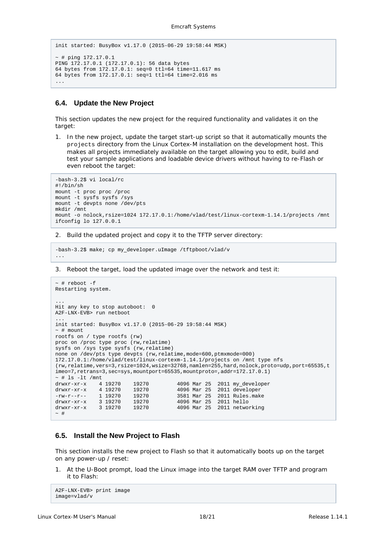```
init started: BusyBox v1.17.0 (2015-06-29 19:58:44 MSK)
\sim # ping 172.17.0.1
PING 172.17.0.1 (172.17.0.1): 56 data bytes
64 bytes from 172.17.0.1: seq=0 ttl=64 time=11.617 ms
64 bytes from 172.17.0.1: seq=1 ttl=64 time=2.016 ms
...
```
#### <span id="page-17-0"></span>**6.4. Update the New Project**

This section updates the new project for the required functionality and validates it on the target:

1. In the new project, update the target start-up script so that it automatically mounts the projects directory from the Linux Cortex-M installation on the development host. This makes all projects immediately available on the target allowing you to edit, build and test your sample applications and loadable device drivers without having to re-Flash or even reboot the target:

```
-bash-3.2$ vi local/rc
#!/bin/sh
mount -t proc proc /proc
mount -t sysfs sysfs /sys
mount -t devpts none /dev/pts
mkdir /mnt
mount -o nolock,rsize=1024 172.17.0.1:/home/vlad/test/linux-cortexm-1.14.1/projects /mnt
ifconfig lo 127.0.0.1
```
2. Build the updated project and copy it to the TFTP server directory:

```
-bash-3.2$ make; cp my_developer.uImage /tftpboot/vlad/v
```
3. Reboot the target, load the updated image over the network and test it:

```
~\sim~ # reboot -f
Restarting system.
...
Hit any key to stop autoboot: 0
A2F-LNX-EVB> run netboot
...
init started: BusyBox v1.17.0 (2015-06-29 19:58:44 MSK)
~\sim~ # mount.
rootfs on / type rootfs (rw)
proc on /proc type proc (rw,relatime)
sysfs on /sys type sysfs (rw,relatime)
none on /dev/pts type devpts (rw,relatime,mode=600,ptmxmode=000)
172.17.0.1:/home/vlad/test/linux-cortexm-1.14.1/projects on /mnt type nfs
(rw,relatime,vers=3,rsize=1024,wsize=32768,namlen=255,hard,nolock,proto=udp,port=65535,t
imeo=7,retrans=3,sec=sys,mountport=65535,mountproto=,addr=172.17.0.1)
\begin{tabular}{ll} $\sim$ \# 1s -lt /mmt$ & $\sim$ \# 19270 \cr drwxr - xr -x & 4 19270 \cr \hline \end{tabular}drwxr-xr-x 4 19270 19270 4096 Mar 25 2011 my_developer
drwxr-xr-x 4 19270 19270 4096 Mar 25 2011 developer
1 19270 19270 19270 19270 19270 19270 19270 19270 19270 19270 19270 19270 19270 19270 19270 19270 19270 19270 19270 19270 19270 19270 19270 19270 19270 19270 19270 19270 19270 19270 19270 19270 19270 19270 19270 19270 1927
drwxr-xr-x 3 19270 19270 4096 Mar 25 2011 hello
drwxr-xr-x 3 19270 19270 4096 Mar 25 2011 networking
\sim #
```
#### <span id="page-17-1"></span>**6.5. Install the New Project to Flash**

This section installs the new project to Flash so that it automatically boots up on the target on any power-up / reset:

1. At the U-Boot prompt, load the Linux image into the target RAM over TFTP and program it to Flash:

```
A2F-LNX-EVB> print image
image=vlad/v
```
...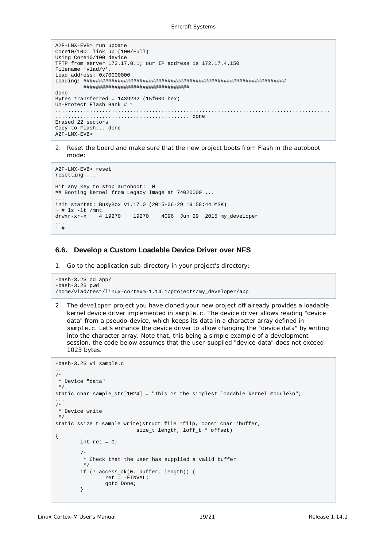```
A2F-LNX-EVB> run update
Core10/100: link up (100/Full)
Using Core10/100 device
TFTP from server 172.17.0.1; our IP address is 172.17.4.150
Filename 'vlad/v'.
Load address: 0x70000000
Loading: #################################################################
          ##################################
done
Bytes transferred = 1439232 (15f600 hex)
Un-Protect Flash Bank # 1
........................................................................................
         ........................................... done
Erased 22 sectors
Copy to Flash... done
A2F-LNX-EVB>
```
2. Reset the board and make sure that the new project boots from Flash in the autoboot mode:

```
A2F-LNX-EVB> reset
resetting ...
...
Hit any key to stop autoboot: 0
## Booting kernel from Legacy Image at 74020000 ...
...
init started: BusyBox v1.17.0 (2015-06-29 19:58:44 MSK)
~\sim # ls -lt /mnt
drwxr-xr-x 4 19270 19270 4096 Jun 29 2015 my_developer
...
\sim #
```
#### <span id="page-18-0"></span>**6.6. Develop a Custom Loadable Device Driver over NFS**

1. Go to the application sub-directory in your project's directory:

```
-bash-3.2$ cd app/
-bash-3.2$ pwd
/home/vlad/test/linux-cortexm-1.14.1/projects/my_developer/app
```
2. The developer project you have cloned your new project off already provides a loadable kernel device driver implemented in sample.c. The device driver allows reading "device data" from a pseudo-device, which keeps its data in a character array defined in sample.c. Let's enhance the device driver to allow changing the "device data" by writing into the character array. Note that, this being a simple example of a development session, the code below assumes that the user-supplied "device-data" does not exceed 1023 bytes.

```
-bash-3.2$ vi sample.c
...
/*
* Device "data"
*/
static char sample_str[1024] = "This is the simplest loadable kernel module\n";
...
/*
 * Device write
*/
static ssize_t sample_write(struct file *filp, const char *buffer,
                          size_t length, loff_t * offset)
{
        int ret = 0; /*
          * Check that the user has supplied a valid buffer
         */
         if (! access_ok(0, buffer, length)) {
                ret = -EINVAL;
         goto Done;
}<br>}<br>}
```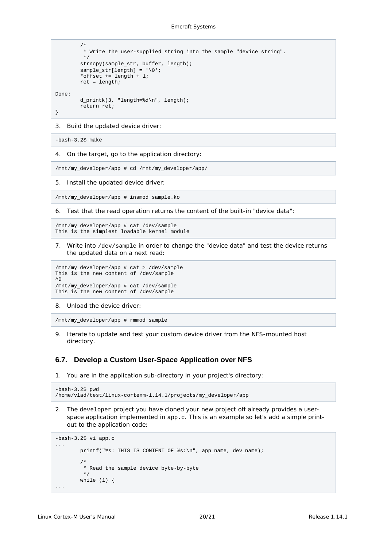```
 /*
         * Write the user-supplied string into the sample "device string".
 */
         strncpy(sample_str, buffer, length);
        sample_str[length] = '\0';
         *offset += length + 1;
         ret = length;
Done:
         d_printk(3, "length=%d\n", length);
         return ret;
}
```
3. Build the updated device driver:

-bash-3.2\$ make

4. On the target, go to the application directory:

/mnt/my\_developer/app # cd /mnt/my\_developer/app/

5. Install the updated device driver:

/mnt/my\_developer/app # insmod sample.ko

6. Test that the read operation returns the content of the built-in "device data":

```
/mnt/my_developer/app # cat /dev/sample
This is the simplest loadable kernel module
```
7. Write into /dev/sample in order to change the "device data" and test the device returns the updated data on a next read:

```
/mnt/my_developer/app # cat > /dev/sample
This is the new content of /dev/sample
\mathtt{\uparrow}\mathtt{D}/mnt/my_developer/app # cat /dev/sample
This is the new content of /dev/sample
```
8. Unload the device driver:

/mnt/my\_developer/app # rmmod sample

9. Iterate to update and test your custom device driver from the NFS-mounted host directory.

#### <span id="page-19-0"></span>**6.7. Develop a Custom User-Space Application over NFS**

1. You are in the application sub-directory in your project's directory:

```
-bash-3.2$ pwd
/home/vlad/test/linux-cortexm-1.14.1/projects/my_developer/app
```
2. The developer project you have cloned your new project off already provides a userspace application implemented in app.c. This is an example so let's add a simple printout to the application code:

```
-bash-3.2$ vi app.c
...
        printf("%s: THIS IS CONTENT OF %s:\n", app_name, dev_name);
 /*
         * Read the sample device byte-by-byte
 */
 while (1) {
...
```